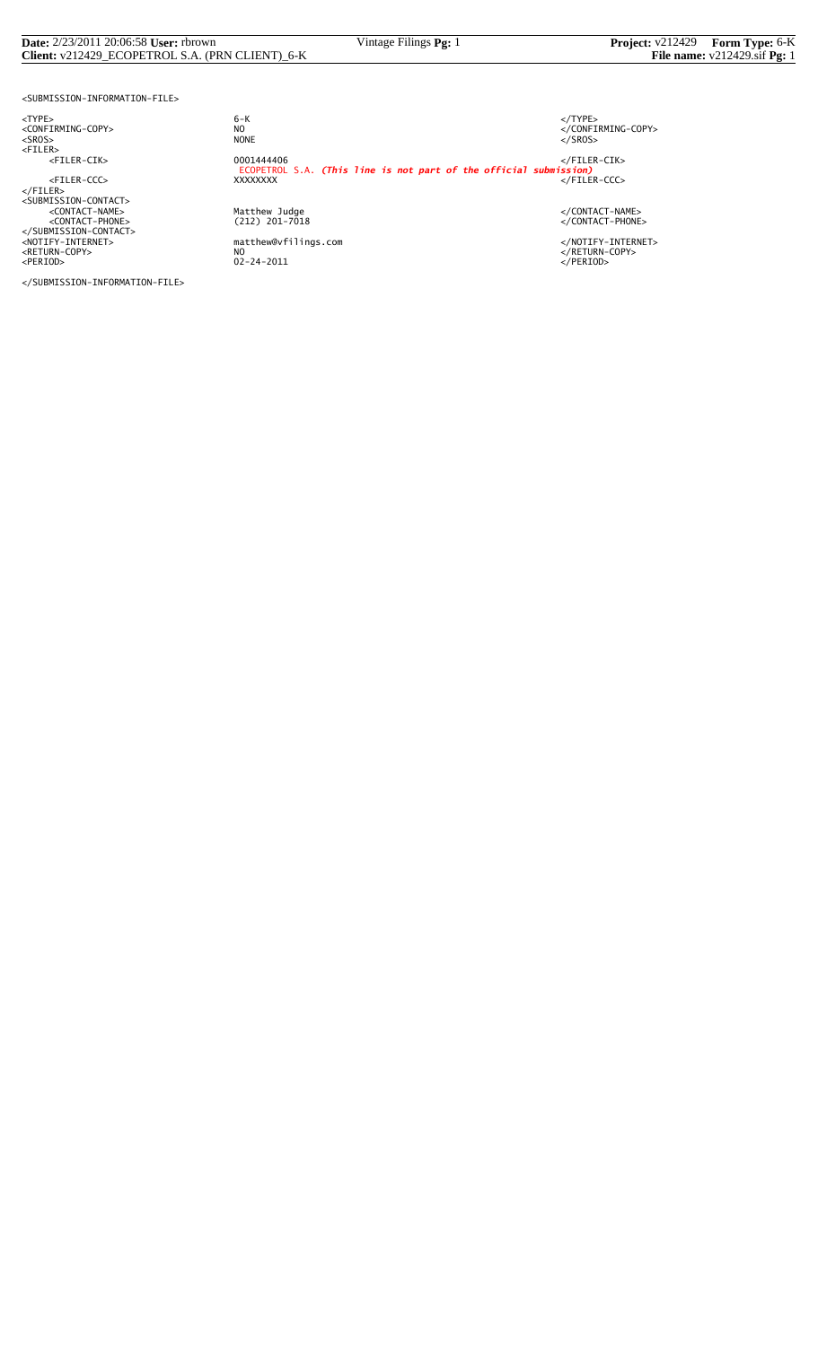#### **Date:** 2/23/2011 20:06:58 **User:** rbrown Vintage Filings **Pg:** 1 **Project:** v212429 **Form Type:** 6-K **Client:** v212429\_ECOPETROL S.A. (PRN CLIENT)\_6-K **File name:** v212429.sif **Pg:** 1

<SUBMISSION-INFORMATION-FILE>

<TYPE> 6-K </TYPE>

</SUBMISSION-INFORMATION-FILE>

 $6 - K$ NO<br>
NO<br>
NONE<br>
NONE<br>
NONE<br>
S/SROS> <SROS> NONE </SROS> <FILER> <FILER-CIK> 0001444406 </FILER-CIK> ECOPETROL S.A. *(This line is not part of the official submission)* <FILER-CCC> XXXXXXXX </FILER-CCC> </FILER> <SUBMISSION-CONTACT> <CONTACT-NAME> Matthew Judge </CONTACT-NAME> <CONTACT-PHONE> (212) 201-7018 </CONTACT-PHONE> </SUBMISSION-CONTACT> <NOTIFY-INTERNET> matthew@vfilings.com </NOTIFY-INTERNET> <RETURN-COPY> NO </RETURN-COPY> <PERIOD> 02-24-2011 </PERIOD>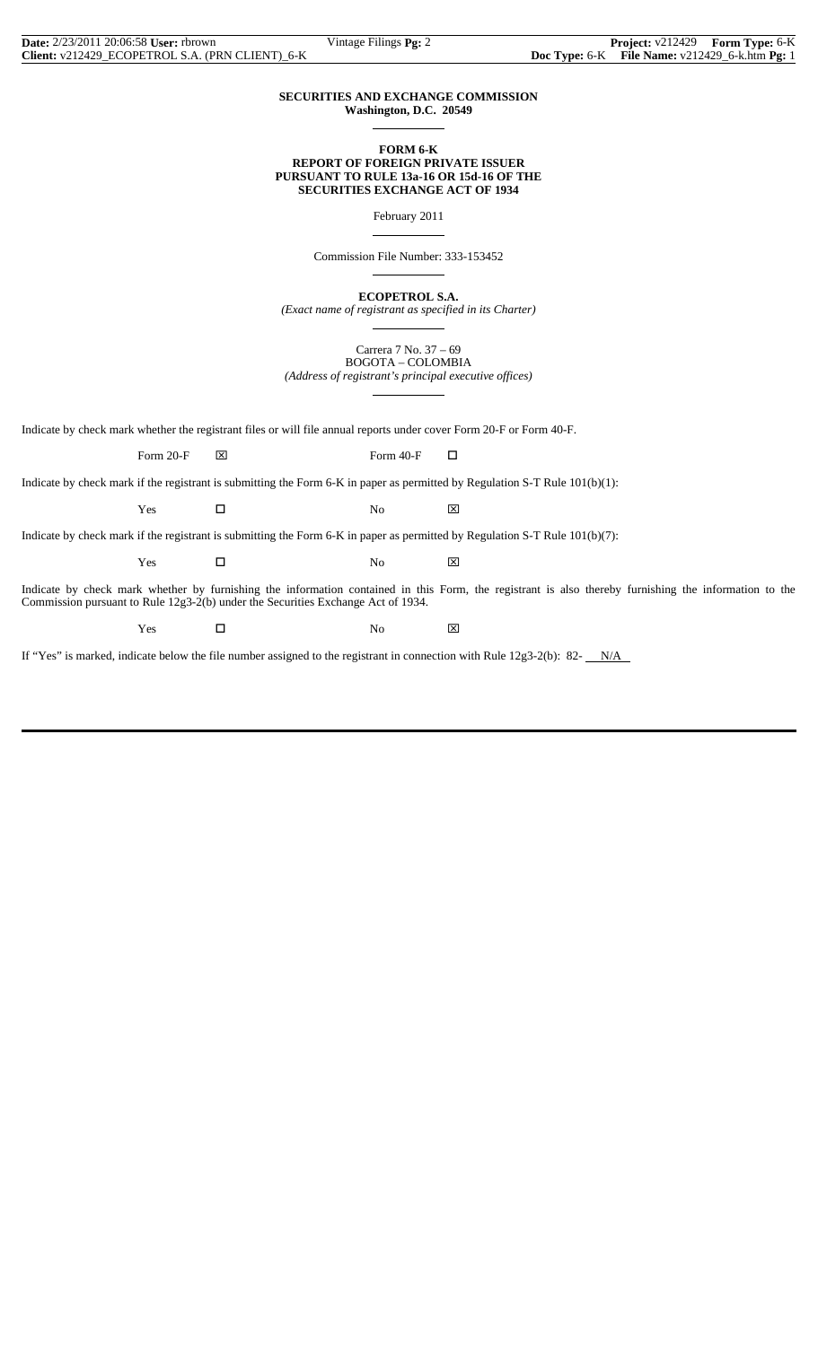## **SECURITIES AND EXCHANGE COMMISSION Washington, D.C. 20549**

 $\overline{a}$ 

 $\overline{a}$ 

 $\overline{a}$ 

 $\overline{a}$ 

## **FORM 6-K REPORT OF FOREIGN PRIVATE ISSUER PURSUANT TO RULE 13a-16 OR 15d-16 OF THE SECURITIES EXCHANGE ACT OF 1934**

February 2011

Commission File Number: 333-153452

**ECOPETROL S.A.**

*(Exact name of registrant as specified in its Charter)*  $\overline{a}$ 

> Carrera 7 No. 37 – 69 BOGOTA – COLOMBIA

*(Address of registrant's principal executive offices)*

Indicate by check mark whether the registrant files or will file annual reports under cover Form 20-F or Form 40-F.

Form 20-F  $\boxtimes$  Form 40-F  $\Box$ 

Indicate by check mark if the registrant is submitting the Form 6-K in paper as permitted by Regulation S-T Rule 101(b)(1):

 $Yes$   $\Box$  No  $\boxtimes$ 

Indicate by check mark if the registrant is submitting the Form 6-K in paper as permitted by Regulation S-T Rule 101(b)(7):

 $Yes$   $\Box$  No  $\boxtimes$ 

Indicate by check mark whether by furnishing the information contained in this Form, the registrant is also thereby furnishing the information to the Commission pursuant to Rule 12g3-2(b) under the Securities Exchange Act of 1934.

Yes □ No ⊠

If "Yes" is marked, indicate below the file number assigned to the registrant in connection with Rule  $12g3-2(b)$ : 82- $N/A$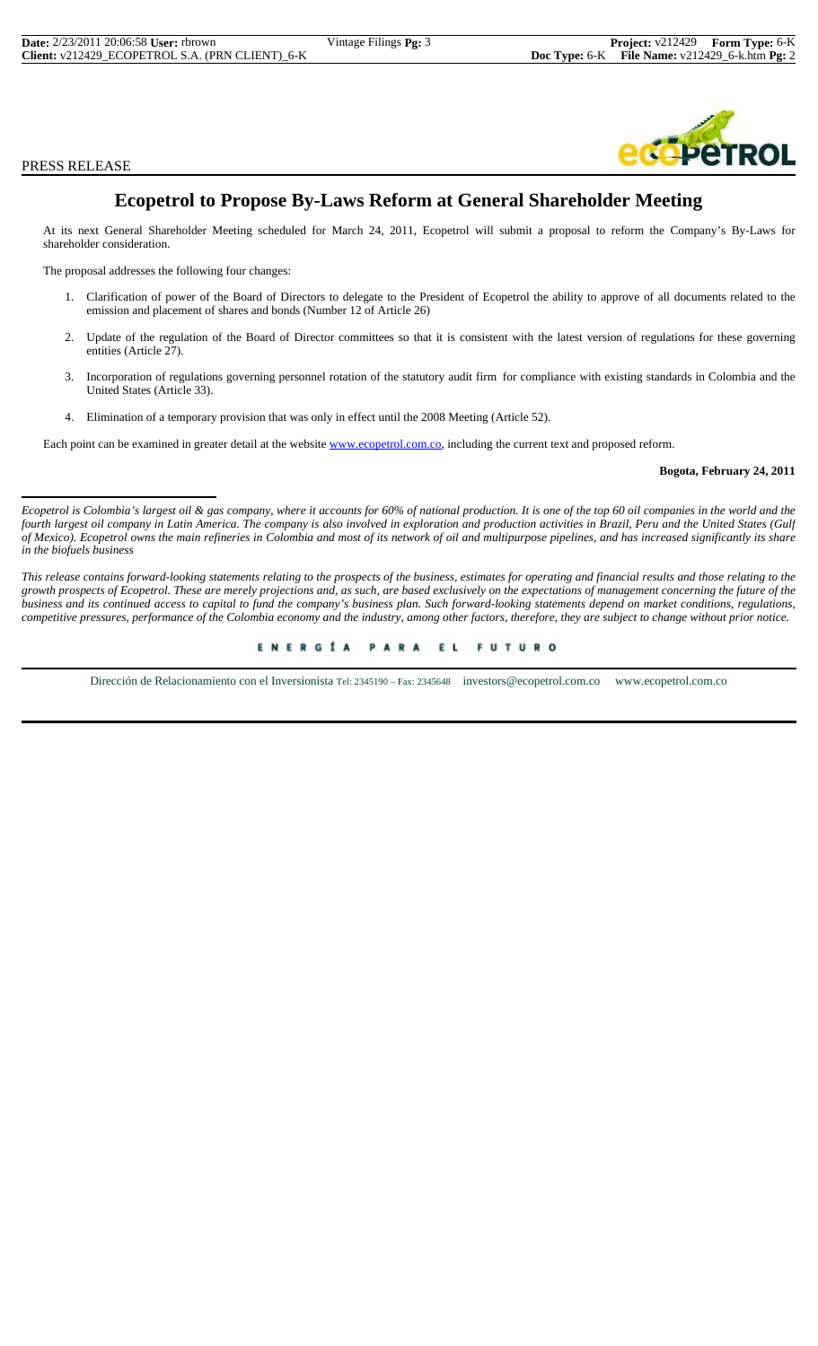PRESS RELEASE



# **Ecopetrol to Propose By-Laws Reform at General Shareholder Meeting**

At its next General Shareholder Meeting scheduled for March 24, 2011, Ecopetrol will submit a proposal to reform the Company's By-Laws for shareholder consideration.

The proposal addresses the following four changes:

- 1. Clarification of power of the Board of Directors to delegate to the President of Ecopetrol the ability to approve of all documents related to the emission and placement of shares and bonds (Number 12 of Article 26)
- 2. Update of the regulation of the Board of Director committees so that it is consistent with the latest version of regulations for these governing entities (Article 27).
- 3. Incorporation of regulations governing personnel rotation of the statutory audit firm for compliance with existing standards in Colombia and the United States (Article 33).
- 4. Elimination of a temporary provision that was only in effect until the 2008 Meeting (Article 52).

Each point can be examined in greater detail at the website www.ecopetrol.com.co, including the current text and proposed reform.

# **Bogota, February 24, 2011**

Ecopetrol is Colombia's largest oil & gas company, where it accounts for 60% of national production. It is one of the top 60 oil companies in the world and the *fourth largest oil company in Latin America. The company is also involved in exploration and production activities in Brazil, Peru and the United States (Gulf of Mexico). Ecopetrol owns the main refineries in Colombia and most of its network of oil and multipurpose pipelines, and has increased significantly its share in the biofuels business*

*This release contains forward-looking statements relating to the prospects of the business, estimates for operating and financial results and those relating to the growth prospects of Ecopetrol. These are merely projections and, as such, are based exclusively on the expectations of management concerning the future of the business and its continued access to capital to fund the company's business plan. Such forward-looking statements depend on market conditions, regulations, competitive pressures, performance of the Colombia economy and the industry, among other factors, therefore, they are subject to change without prior notice.*

> ENERGÍA PARA EL FUTURO

Dirección de Relacionamiento con el Inversionista Tel: 2345190 – Fax: 2345648 investors@ecopetrol.com.co www.ecopetrol.com.co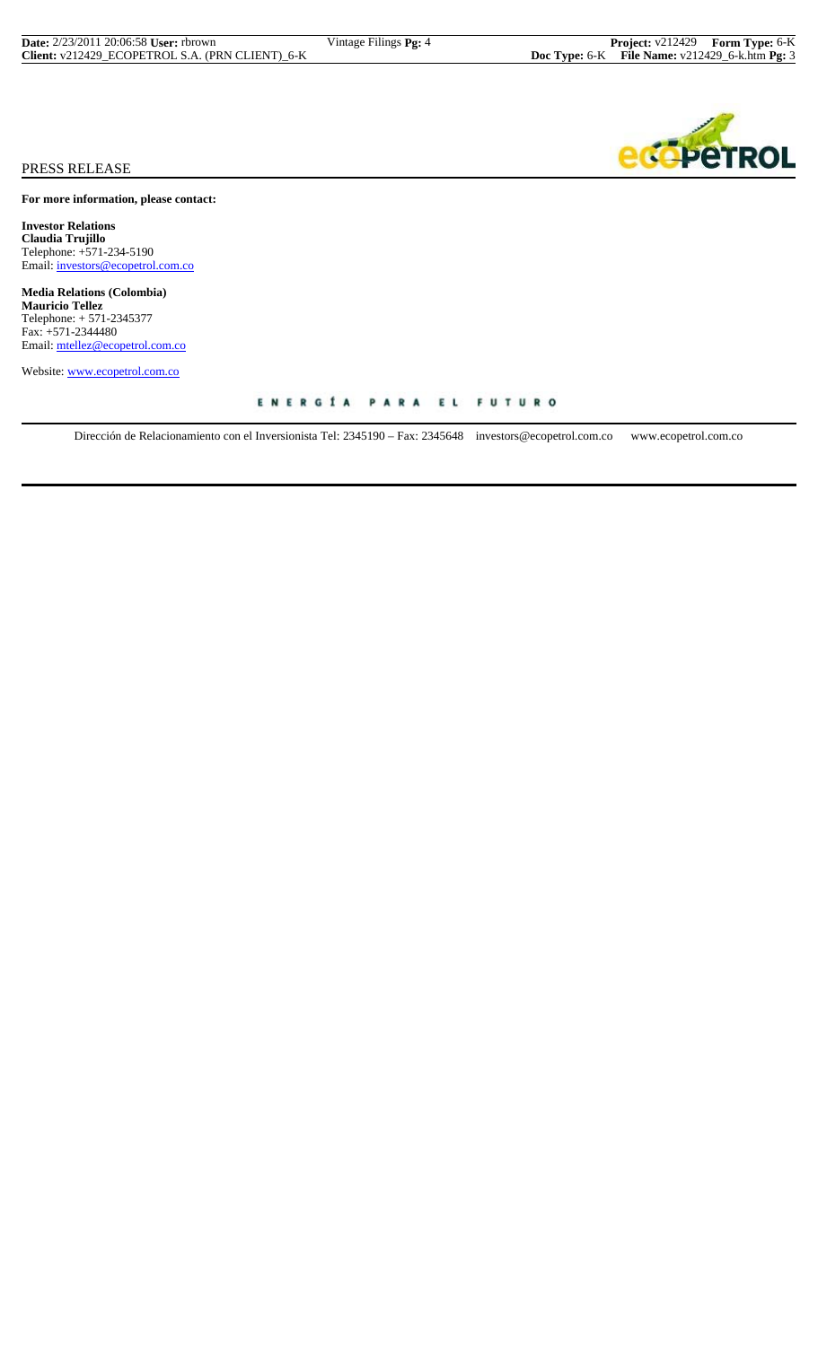| <b>Date:</b> 2/23/2011 20:06:58 <b>User:</b> rbrown | Vintage Filings <b>Pg:</b> 4 | <b>Project:</b> v212429 Form Type: 6-K                  |  |
|-----------------------------------------------------|------------------------------|---------------------------------------------------------|--|
| Client: v212429 ECOPETROL S.A. (PRN CLIENT) 6-K     |                              | <b>Doc Type:</b> 6-K File Name: $v212429$ 6-k.htm Pg: 3 |  |



# PRESS RELEASE

**For more information, please contact:**

**Investor Relations Claudia Trujillo** Telephone: +571-234-5190 Email: investors@ecopetrol.com.co

**Media Relations (Colombia) Mauricio Tellez** Telephone: + 571-2345377 Fax: +571-2344480 Email: mtellez@ecopetrol.com.co

Website: www.ecopetrol.com.co

Dirección de Relacionamiento con el Inversionista Tel: 2345190 – Fax: 2345648 investors@ecopetrol.com.co www.ecopetrol.com.co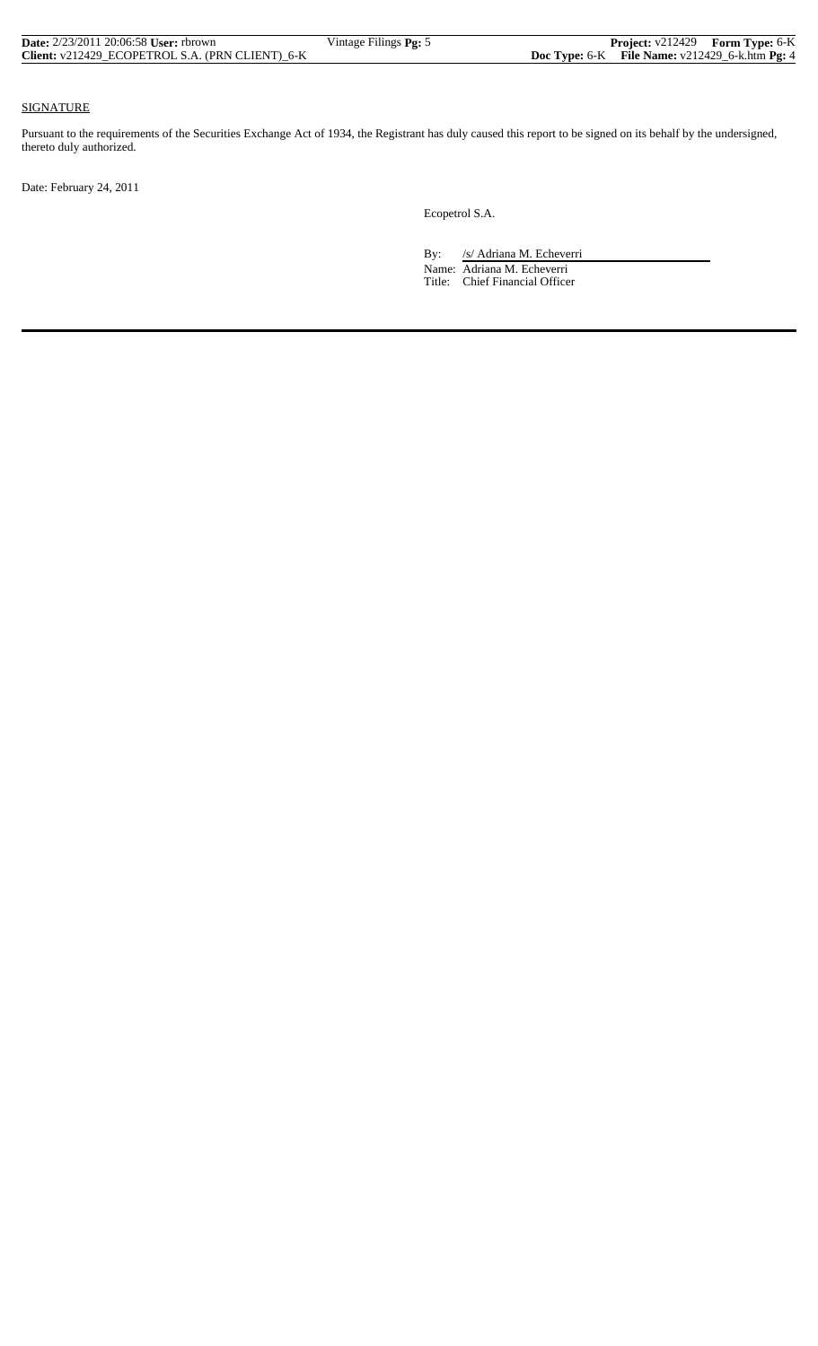| <b>Date:</b> $2/23/2011$ 20:06:58 <b>User:</b> rbrown | Vintage Filings <b>Pg:</b> 5 |                                                     | <b>Project:</b> v212429 Form Type: 6-K |
|-------------------------------------------------------|------------------------------|-----------------------------------------------------|----------------------------------------|
| Client: v212429 ECOPETROL S.A. (PRN CLIENT) 6-K       |                              | Doc Type: $6-K$ File Name: $v212429_6$ -k.htm Pg: 4 |                                        |

## SIGNATURE

Pursuant to the requirements of the Securities Exchange Act of 1934, the Registrant has duly caused this report to be signed on its behalf by the undersigned, thereto duly authorized.

Date: February 24, 2011

Ecopetrol S.A.

By: /s/ Adriana M. Echeverri

 Name: Adriana M. Echeverri Title: Chief Financial Officer